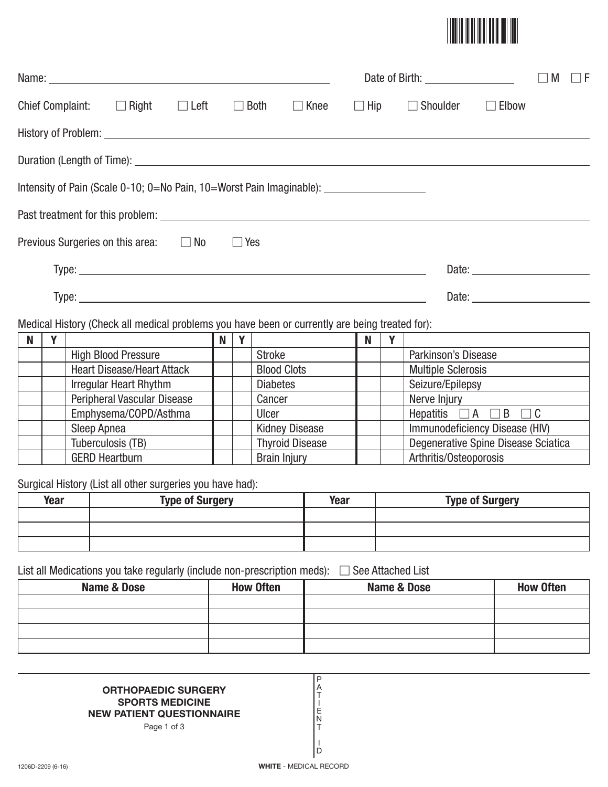

| Name: Name and the second contract of the second contract of the second contract of the second contract of the second contract of the second contract of the second contract of the second contract of the second contract of |  |  |             |             |            | Date of Birth: ____________________ |                                     | M | l IF |
|-------------------------------------------------------------------------------------------------------------------------------------------------------------------------------------------------------------------------------|--|--|-------------|-------------|------------|-------------------------------------|-------------------------------------|---|------|
| Chief Complaint: $\Box$ Right $\Box$ Left                                                                                                                                                                                     |  |  | $\Box$ Both | $\Box$ Knee | $\Box$ Hip | Shoulder<br>$\Box$                  | Elbow                               |   |      |
|                                                                                                                                                                                                                               |  |  |             |             |            |                                     |                                     |   |      |
|                                                                                                                                                                                                                               |  |  |             |             |            |                                     |                                     |   |      |
| Intensity of Pain (Scale 0-10; 0=No Pain, 10=Worst Pain Imaginable): __________________                                                                                                                                       |  |  |             |             |            |                                     |                                     |   |      |
|                                                                                                                                                                                                                               |  |  |             |             |            |                                     |                                     |   |      |
| Previous Surgeries on this area: $\Box$ No                                                                                                                                                                                    |  |  | $\Box$ Yes  |             |            |                                     |                                     |   |      |
|                                                                                                                                                                                                                               |  |  |             |             |            |                                     |                                     |   |      |
|                                                                                                                                                                                                                               |  |  |             |             |            |                                     | Date: <u>______________________</u> |   |      |
| Medical History (Check all medical problems you have been or currently are being treated for):                                                                                                                                |  |  |             |             |            |                                     |                                     |   |      |

| N |                                   | N | $\mathbf{v}$ |                        | N |                                     |
|---|-----------------------------------|---|--------------|------------------------|---|-------------------------------------|
|   | <b>High Blood Pressure</b>        |   |              | <b>Stroke</b>          |   | Parkinson's Disease                 |
|   | <b>Heart Disease/Heart Attack</b> |   |              | <b>Blood Clots</b>     |   | <b>Multiple Sclerosis</b>           |
|   | <b>Irregular Heart Rhythm</b>     |   |              | <b>Diabetes</b>        |   | Seizure/Epilepsy                    |
|   | Peripheral Vascular Disease       |   |              | Cancer                 |   | Nerve Injury                        |
|   | Emphysema/COPD/Asthma             |   |              | Ulcer                  |   | Hepatitis $\Box A \Box B \Box C$    |
|   | Sleep Apnea                       |   |              | <b>Kidney Disease</b>  |   | Immunodeficiency Disease (HIV)      |
|   | Tuberculosis (TB)                 |   |              | <b>Thyroid Disease</b> |   | Degenerative Spine Disease Sciatica |
|   | <b>GERD Heartburn</b>             |   |              | <b>Brain Injury</b>    |   | Arthritis/Osteoporosis              |

Surgical History (List all other surgeries you have had):

| Year | <b>Type of Surgery</b> | <b>Year</b> | <b>Type of Surgery</b> |
|------|------------------------|-------------|------------------------|
|      |                        |             |                        |
|      |                        |             |                        |
|      |                        |             |                        |

List all Medications you take regularly (include non-prescription meds): - See Attached List

| Name & Dose | <b>How Often</b> | Name & Dose | <b>How Often</b> |
|-------------|------------------|-------------|------------------|
|             |                  |             |                  |
|             |                  |             |                  |
|             |                  |             |                  |
|             |                  |             |                  |

P A T I E N T I D

## **ORTHOPAEDIC SURGERY SPORTS MEDICINE NEW PATIENT QUESTIONNAIRE**

Page 1 of 3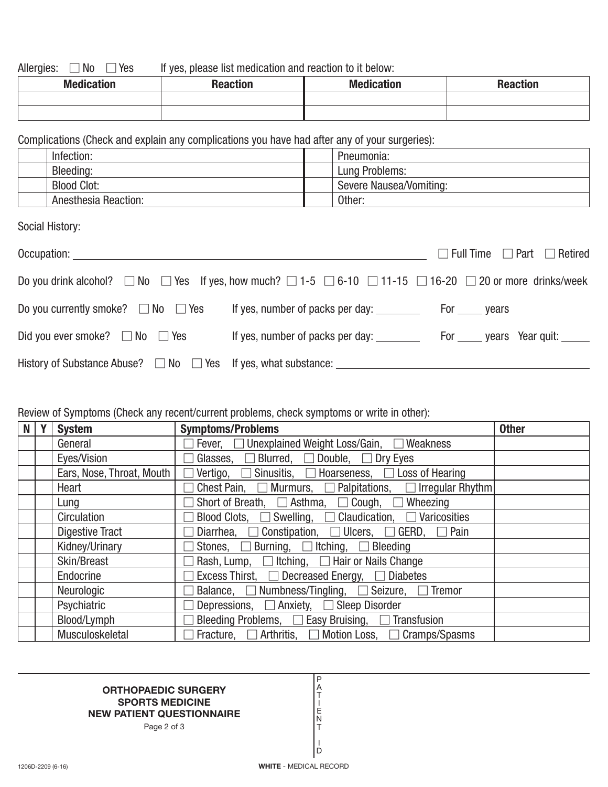Allergies:  $\Box$  No  $\Box$ If yes, please list medication and reaction to it below:

| <b>Medication</b> | Reactior | <b>Medication</b> | <b>Propries</b><br>า <del>c</del> acuon |
|-------------------|----------|-------------------|-----------------------------------------|
|                   |          |                   |                                         |
|                   |          |                   |                                         |

Complications (Check and explain any complications you have had after any of your surgeries):

| Infection: |                             | Pneumonia:              |
|------------|-----------------------------|-------------------------|
| Bleeding:  |                             | Lung Problems:          |
|            | <b>Blood Clot:</b>          | Severe Nausea/Vomiting: |
|            | <b>Anesthesia Reaction:</b> | Other:                  |

Social History:

| Occupation: _____________                                                                                                                   |                                  | $\Box$ Full Time $\Box$ Part $\Box$ Retired |
|---------------------------------------------------------------------------------------------------------------------------------------------|----------------------------------|---------------------------------------------|
| Do you drink alcohol? $\Box$ No $\Box$ Yes If yes, how much? $\Box$ 1-5 $\Box$ 6-10 $\Box$ 11-15 $\Box$ 16-20 $\Box$ 20 or more drinks/week |                                  |                                             |
| Do you currently smoke? $\Box$ No $\Box$ Yes                                                                                                |                                  |                                             |
| Did you ever smoke? $\Box$ No $\Box$ Yes                                                                                                    | If yes, number of packs per day: | For ______ years Year quit: ______          |
|                                                                                                                                             |                                  |                                             |

## Review of Symptoms (Check any recent/current problems, check symptoms or write in other):

| N | Y | <b>System</b>             | <b>Symptoms/Problems</b>                                                       | <b>Other</b> |
|---|---|---------------------------|--------------------------------------------------------------------------------|--------------|
|   |   | General                   | Fever, □ Unexplained Weight Loss/Gain, □ Weakness                              |              |
|   |   | Eyes/Vision               | Glasses, $\Box$ Blurred, $\Box$ Double, $\Box$ Dry Eyes                        |              |
|   |   | Ears, Nose, Throat, Mouth | Vertigo, $\Box$ Sinusitis, $\Box$ Hoarseness, $\Box$ Loss of Hearing<br>$\Box$ |              |
|   |   | Heart                     | Chest Pain, $\Box$ Murmurs, $\Box$ Palpitations, $\Box$ Irregular Rhythm       |              |
|   |   | Lung                      | Short of Breath, $\Box$ Asthma, $\Box$ Cough, $\Box$ Wheezing                  |              |
|   |   | Circulation               | Blood Clots, $\Box$ Swelling, $\Box$ Claudication, $\Box$ Varicosities         |              |
|   |   | <b>Digestive Tract</b>    | Diarrhea, $\Box$ Constipation, $\Box$ Ulcers, $\Box$ GERD, $\Box$ Pain         |              |
|   |   | Kidney/Urinary            | Stones, $\Box$ Burning, $\Box$ Itching, $\Box$ Bleeding                        |              |
|   |   | Skin/Breast               | Rash, Lump, $\Box$ Itching, $\Box$ Hair or Nails Change                        |              |
|   |   | Endocrine                 | Excess Thirst, □ Decreased Energy, □ Diabetes                                  |              |
|   |   | Neurologic                | Balance, $\Box$ Numbness/Tingling, $\Box$ Seizure, $\Box$ Tremor               |              |
|   |   | Psychiatric               | Depressions, $\Box$ Anxiety, $\Box$ Sleep Disorder                             |              |
|   |   | Blood/Lymph               | Bleeding Problems, $\Box$ Easy Bruising, $\Box$ Transfusion                    |              |
|   |   | Musculoskeletal           | Fracture, $\Box$ Arthritis, $\Box$ Motion Loss, $\Box$ Cramps/Spasms           |              |

## **ORTHOPAEDIC SURGERY SPORTS MEDICINE NEW PATIENT QUESTIONNAIRE**

Page 2 of 3

P A T I E N T I D